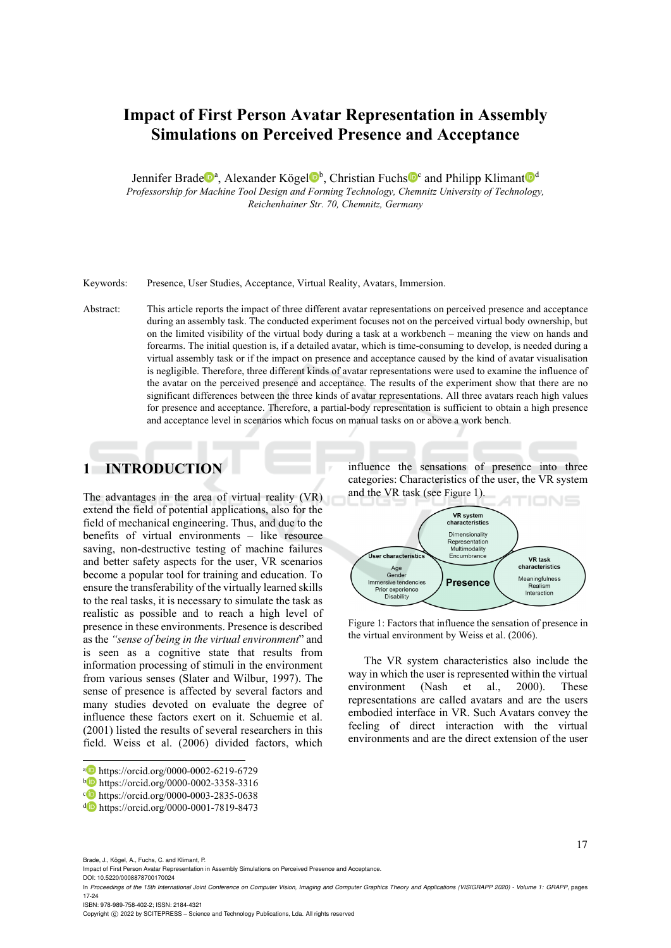# **Impact of First Person Avatar Representation in Assembly Simulations on Perceived Presence and Acceptance**

Jennifer Brade<sup>n</sup>, Alexander Kögel<sup>n</sup>, Christian Fuchs<sup>noc</sup> and Philipp Klimant<sup>nod</sup> *Professorship for Machine Tool Design and Forming Technology, Chemnitz University of Technology, Reichenhainer Str. 70, Chemnitz, Germany* 

Keywords: Presence, User Studies, Acceptance, Virtual Reality, Avatars, Immersion.

Abstract: This article reports the impact of three different avatar representations on perceived presence and acceptance during an assembly task. The conducted experiment focuses not on the perceived virtual body ownership, but on the limited visibility of the virtual body during a task at a workbench – meaning the view on hands and forearms. The initial question is, if a detailed avatar, which is time-consuming to develop, is needed during a virtual assembly task or if the impact on presence and acceptance caused by the kind of avatar visualisation is negligible. Therefore, three different kinds of avatar representations were used to examine the influence of the avatar on the perceived presence and acceptance. The results of the experiment show that there are no significant differences between the three kinds of avatar representations. All three avatars reach high values for presence and acceptance. Therefore, a partial-body representation is sufficient to obtain a high presence and acceptance level in scenarios which focus on manual tasks on or above a work bench.

# **1 INTRODUCTION**

The advantages in the area of virtual reality (VR) extend the field of potential applications, also for the field of mechanical engineering. Thus, and due to the benefits of virtual environments – like resource saving, non-destructive testing of machine failures and better safety aspects for the user, VR scenarios become a popular tool for training and education. To ensure the transferability of the virtually learned skills to the real tasks, it is necessary to simulate the task as realistic as possible and to reach a high level of presence in these environments. Presence is described as the *"sense of being in the virtual environment*" and is seen as a cognitive state that results from information processing of stimuli in the environment from various senses (Slater and Wilbur, 1997). The sense of presence is affected by several factors and many studies devoted on evaluate the degree of influence these factors exert on it. Schuemie et al. (2001) listed the results of several researchers in this field. Weiss et al. (2006) divided factors, which

influence the sensations of presence into three categories: Characteristics of the user, the VR system and the VR task (see Figure 1).



Figure 1: Factors that influence the sensation of presence in the virtual environment by Weiss et al. (2006).

The VR system characteristics also include the way in which the user is represented within the virtual environment (Nash et al., 2000). These representations are called avatars and are the users embodied interface in VR. Such Avatars convey the feeling of direct interaction with the virtual environments and are the direct extension of the user

DOI: 10.5220/0008878700170024

 $\overline{a}$ 

ISBN: 978-989-758-402-2; ISSN: 2184-4321

Copyright © 2022 by SCITEPRESS - Science and Technology Publications, Lda. All rights reserved

a https://orcid.org/0000-0002-6219-6729<br>
b https://orcid.org/0000-0002-3358-3316<br>
c https://orcid.org/0000-0003-2835-0638<br>
d https://orcid.org/0000-0001-7819-8473

Brade, J., Kögel, A., Fuchs, C. and Klimant, P.

Impact of First Person Avatar Representation in Assembly Simulations on Perceived Presence and Acceptance.

In *Proceedings of the 15th International Joint Conference on Computer Vision, Imaging and Computer Graphics Theory and Applications (VISIGRAPP 2020) - Volume 1: GRAPP*, pages 17-24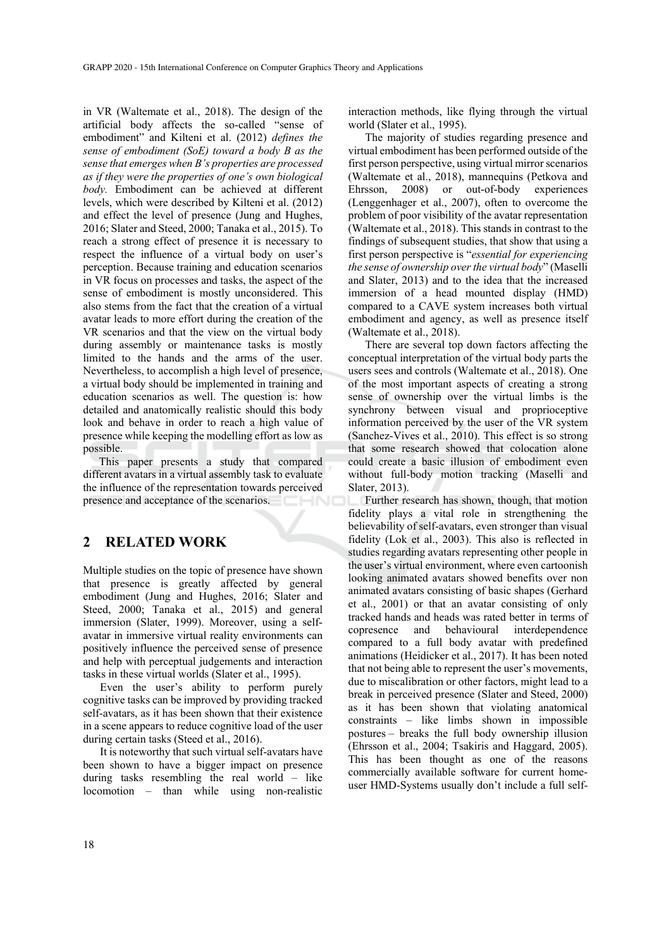in VR (Waltemate et al., 2018). The design of the artificial body affects the so-called "sense of embodiment" and Kilteni et al. (2012) *defines the sense of embodiment (SoE) toward a body B as the sense that emerges when B's properties are processed as if they were the properties of one's own biological body.* Embodiment can be achieved at different levels, which were described by Kilteni et al. (2012) and effect the level of presence (Jung and Hughes, 2016; Slater and Steed, 2000; Tanaka et al., 2015). To reach a strong effect of presence it is necessary to respect the influence of a virtual body on user's perception. Because training and education scenarios in VR focus on processes and tasks, the aspect of the sense of embodiment is mostly unconsidered. This also stems from the fact that the creation of a virtual avatar leads to more effort during the creation of the VR scenarios and that the view on the virtual body during assembly or maintenance tasks is mostly limited to the hands and the arms of the user. Nevertheless, to accomplish a high level of presence, a virtual body should be implemented in training and education scenarios as well. The question is: how detailed and anatomically realistic should this body look and behave in order to reach a high value of presence while keeping the modelling effort as low as possible.

This paper presents a study that compared different avatars in a virtual assembly task to evaluate the influence of the representation towards perceived presence and acceptance of the scenarios.

### **2 RELATED WORK**

Multiple studies on the topic of presence have shown that presence is greatly affected by general embodiment (Jung and Hughes, 2016; Slater and Steed, 2000; Tanaka et al., 2015) and general immersion (Slater, 1999). Moreover, using a selfavatar in immersive virtual reality environments can positively influence the perceived sense of presence and help with perceptual judgements and interaction tasks in these virtual worlds (Slater et al., 1995).

Even the user's ability to perform purely cognitive tasks can be improved by providing tracked self-avatars, as it has been shown that their existence in a scene appears to reduce cognitive load of the user during certain tasks (Steed et al., 2016).

It is noteworthy that such virtual self-avatars have been shown to have a bigger impact on presence during tasks resembling the real world – like locomotion – than while using non-realistic

interaction methods, like flying through the virtual world (Slater et al., 1995).

The majority of studies regarding presence and virtual embodiment has been performed outside of the first person perspective, using virtual mirror scenarios (Waltemate et al., 2018), mannequins (Petkova and Ehrsson, 2008) or out-of-body experiences (Lenggenhager et al., 2007), often to overcome the problem of poor visibility of the avatar representation (Waltemate et al., 2018). This stands in contrast to the findings of subsequent studies, that show that using a first person perspective is "*essential for experiencing the sense of ownership over the virtual body*" (Maselli and Slater, 2013) and to the idea that the increased immersion of a head mounted display (HMD) compared to a CAVE system increases both virtual embodiment and agency, as well as presence itself (Waltemate et al., 2018).

There are several top down factors affecting the conceptual interpretation of the virtual body parts the users sees and controls (Waltemate et al., 2018). One of the most important aspects of creating a strong sense of ownership over the virtual limbs is the synchrony between visual and proprioceptive information perceived by the user of the VR system (Sanchez-Vives et al., 2010). This effect is so strong that some research showed that colocation alone could create a basic illusion of embodiment even without full-body motion tracking (Maselli and Slater, 2013).

Further research has shown, though, that motion fidelity plays a vital role in strengthening the believability of self-avatars, even stronger than visual fidelity (Lok et al., 2003). This also is reflected in studies regarding avatars representing other people in the user's virtual environment, where even cartoonish looking animated avatars showed benefits over non animated avatars consisting of basic shapes (Gerhard et al., 2001) or that an avatar consisting of only tracked hands and heads was rated better in terms of copresence and behavioural interdependence compared to a full body avatar with predefined animations (Heidicker et al., 2017). It has been noted that not being able to represent the user's movements, due to miscalibration or other factors, might lead to a break in perceived presence (Slater and Steed, 2000) as it has been shown that violating anatomical constraints – like limbs shown in impossible postures – breaks the full body ownership illusion (Ehrsson et al., 2004; Tsakiris and Haggard, 2005). This has been thought as one of the reasons commercially available software for current homeuser HMD-Systems usually don't include a full self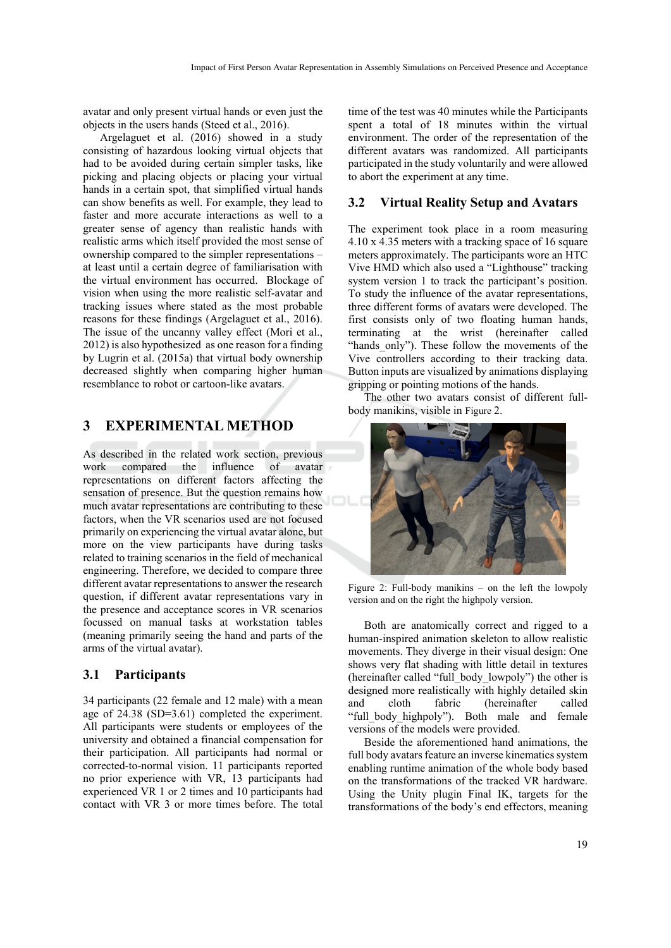avatar and only present virtual hands or even just the objects in the users hands (Steed et al., 2016).

Argelaguet et al. (2016) showed in a study consisting of hazardous looking virtual objects that had to be avoided during certain simpler tasks, like picking and placing objects or placing your virtual hands in a certain spot, that simplified virtual hands can show benefits as well. For example, they lead to faster and more accurate interactions as well to a greater sense of agency than realistic hands with realistic arms which itself provided the most sense of ownership compared to the simpler representations – at least until a certain degree of familiarisation with the virtual environment has occurred. Blockage of vision when using the more realistic self-avatar and tracking issues where stated as the most probable reasons for these findings (Argelaguet et al., 2016). The issue of the uncanny valley effect (Mori et al., 2012) is also hypothesized as one reason for a finding by Lugrin et al. (2015a) that virtual body ownership decreased slightly when comparing higher human resemblance to robot or cartoon-like avatars.

## **3 EXPERIMENTAL METHOD**

As described in the related work section, previous work compared the influence of avatar representations on different factors affecting the sensation of presence. But the question remains how much avatar representations are contributing to these factors, when the VR scenarios used are not focused primarily on experiencing the virtual avatar alone, but more on the view participants have during tasks related to training scenarios in the field of mechanical engineering. Therefore, we decided to compare three different avatar representations to answer the research question, if different avatar representations vary in the presence and acceptance scores in VR scenarios focussed on manual tasks at workstation tables (meaning primarily seeing the hand and parts of the arms of the virtual avatar).

#### **3.1 Participants**

34 participants (22 female and 12 male) with a mean age of 24.38 (SD=3.61) completed the experiment. All participants were students or employees of the university and obtained a financial compensation for their participation. All participants had normal or corrected-to-normal vision. 11 participants reported no prior experience with VR, 13 participants had experienced VR 1 or 2 times and 10 participants had contact with VR 3 or more times before. The total

time of the test was 40 minutes while the Participants spent a total of 18 minutes within the virtual environment. The order of the representation of the different avatars was randomized. All participants participated in the study voluntarily and were allowed to abort the experiment at any time.

#### **3.2 Virtual Reality Setup and Avatars**

The experiment took place in a room measuring 4.10 x 4.35 meters with a tracking space of 16 square meters approximately. The participants wore an HTC Vive HMD which also used a "Lighthouse" tracking system version 1 to track the participant's position. To study the influence of the avatar representations, three different forms of avatars were developed. The first consists only of two floating human hands, terminating at the wrist (hereinafter called "hands only"). These follow the movements of the Vive controllers according to their tracking data. Button inputs are visualized by animations displaying gripping or pointing motions of the hands.

The other two avatars consist of different fullbody manikins, visible in Figure 2.



Figure 2: Full-body manikins – on the left the lowpoly version and on the right the highpoly version.

Both are anatomically correct and rigged to a human-inspired animation skeleton to allow realistic movements. They diverge in their visual design: One shows very flat shading with little detail in textures (hereinafter called "full\_body\_lowpoly") the other is designed more realistically with highly detailed skin and cloth fabric (hereinafter called "full body highpoly"). Both male and female versions of the models were provided.

Beside the aforementioned hand animations, the full body avatars feature an inverse kinematics system enabling runtime animation of the whole body based on the transformations of the tracked VR hardware. Using the Unity plugin Final IK, targets for the transformations of the body's end effectors, meaning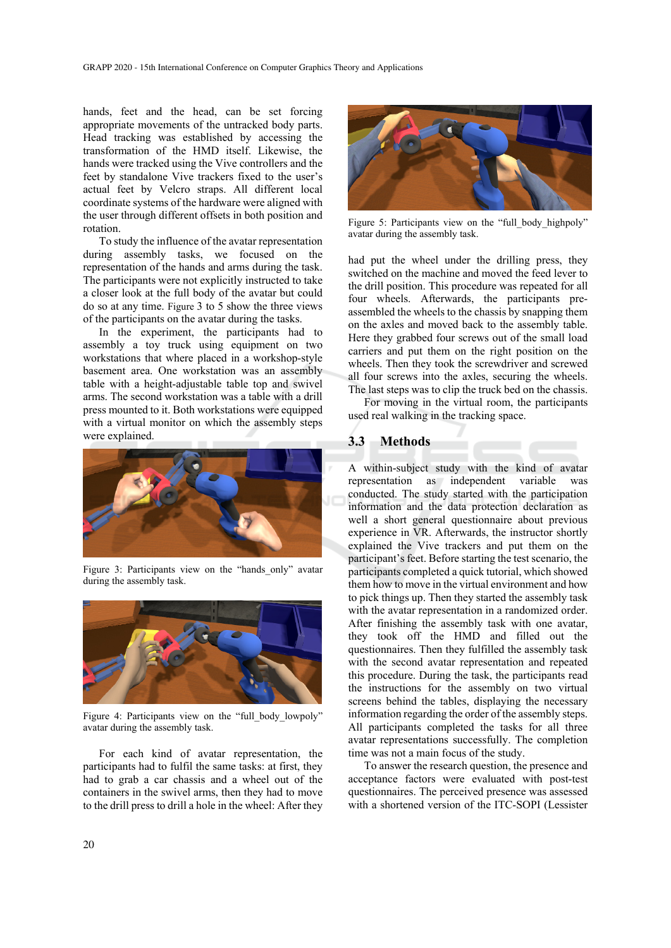hands, feet and the head, can be set forcing appropriate movements of the untracked body parts. Head tracking was established by accessing the transformation of the HMD itself. Likewise, the hands were tracked using the Vive controllers and the feet by standalone Vive trackers fixed to the user's actual feet by Velcro straps. All different local coordinate systems of the hardware were aligned with the user through different offsets in both position and rotation.

To study the influence of the avatar representation during assembly tasks, we focused on the representation of the hands and arms during the task. The participants were not explicitly instructed to take a closer look at the full body of the avatar but could do so at any time. Figure 3 to 5 show the three views of the participants on the avatar during the tasks.

In the experiment, the participants had to assembly a toy truck using equipment on two workstations that where placed in a workshop-style basement area. One workstation was an assembly table with a height-adjustable table top and swivel arms. The second workstation was a table with a drill press mounted to it. Both workstations were equipped with a virtual monitor on which the assembly steps were explained.



Figure 3: Participants view on the "hands\_only" avatar during the assembly task.



Figure 4: Participants view on the "full body lowpoly" avatar during the assembly task.

For each kind of avatar representation, the participants had to fulfil the same tasks: at first, they had to grab a car chassis and a wheel out of the containers in the swivel arms, then they had to move to the drill press to drill a hole in the wheel: After they



Figure 5: Participants view on the "full body highpoly" avatar during the assembly task.

had put the wheel under the drilling press, they switched on the machine and moved the feed lever to the drill position. This procedure was repeated for all four wheels. Afterwards, the participants preassembled the wheels to the chassis by snapping them on the axles and moved back to the assembly table. Here they grabbed four screws out of the small load carriers and put them on the right position on the wheels. Then they took the screwdriver and screwed all four screws into the axles, securing the wheels. The last steps was to clip the truck bed on the chassis.

For moving in the virtual room, the participants used real walking in the tracking space.

#### **3.3 Methods**

A within-subject study with the kind of avatar representation as independent variable was conducted. The study started with the participation information and the data protection declaration as well a short general questionnaire about previous experience in VR. Afterwards, the instructor shortly explained the Vive trackers and put them on the participant's feet. Before starting the test scenario, the participants completed a quick tutorial, which showed them how to move in the virtual environment and how to pick things up. Then they started the assembly task with the avatar representation in a randomized order. After finishing the assembly task with one avatar, they took off the HMD and filled out the questionnaires. Then they fulfilled the assembly task with the second avatar representation and repeated this procedure. During the task, the participants read the instructions for the assembly on two virtual screens behind the tables, displaying the necessary information regarding the order of the assembly steps. All participants completed the tasks for all three avatar representations successfully. The completion time was not a main focus of the study.

To answer the research question, the presence and acceptance factors were evaluated with post-test questionnaires. The perceived presence was assessed with a shortened version of the ITC-SOPI (Lessister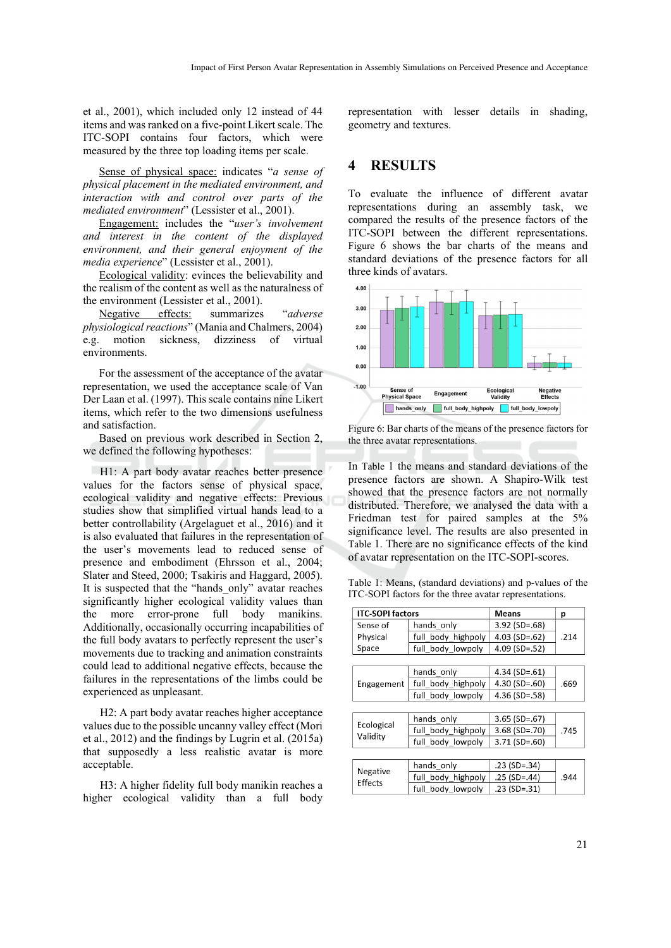et al., 2001), which included only 12 instead of 44 items and was ranked on a five-point Likert scale. The ITC-SOPI contains four factors, which were measured by the three top loading items per scale.

Sense of physical space: indicates "*a sense of physical placement in the mediated environment, and interaction with and control over parts of the mediated environment*" (Lessister et al., 2001).

Engagement: includes the "*user's involvement and interest in the content of the displayed environment, and their general enjoyment of the media experience*" (Lessister et al., 2001).

Ecological validity: evinces the believability and the realism of the content as well as the naturalness of the environment (Lessister et al., 2001).

Negative effects: summarizes "*adverse physiological reactions*" (Mania and Chalmers, 2004) e.g. motion sickness, dizziness of virtual environments.

For the assessment of the acceptance of the avatar representation, we used the acceptance scale of Van Der Laan et al. (1997). This scale contains nine Likert items, which refer to the two dimensions usefulness and satisfaction.

Based on previous work described in Section 2, we defined the following hypotheses:

H1: A part body avatar reaches better presence values for the factors sense of physical space, ecological validity and negative effects: Previous studies show that simplified virtual hands lead to a better controllability (Argelaguet et al., 2016) and it is also evaluated that failures in the representation of the user's movements lead to reduced sense of presence and embodiment (Ehrsson et al., 2004; Slater and Steed, 2000; Tsakiris and Haggard, 2005). It is suspected that the "hands\_only" avatar reaches significantly higher ecological validity values than the more error-prone full body manikins. Additionally, occasionally occurring incapabilities of the full body avatars to perfectly represent the user's movements due to tracking and animation constraints could lead to additional negative effects, because the failures in the representations of the limbs could be experienced as unpleasant.

H2: A part body avatar reaches higher acceptance values due to the possible uncanny valley effect (Mori et al., 2012) and the findings by Lugrin et al. (2015a) that supposedly a less realistic avatar is more acceptable.

H3: A higher fidelity full body manikin reaches a higher ecological validity than a full body

representation with lesser details in shading, geometry and textures.

#### **4 RESULTS**

To evaluate the influence of different avatar representations during an assembly task, we compared the results of the presence factors of the ITC-SOPI between the different representations. Figure 6 shows the bar charts of the means and standard deviations of the presence factors for all three kinds of avatars.



Figure 6: Bar charts of the means of the presence factors for the three avatar representations.

In Table 1 the means and standard deviations of the presence factors are shown. A Shapiro-Wilk test showed that the presence factors are not normally distributed. Therefore, we analysed the data with a Friedman test for paired samples at the 5% significance level. The results are also presented in Table 1. There are no significance effects of the kind of avatar representation on the ITC-SOPI-scores.

Table 1: Means, (standard deviations) and p-values of the ITC-SOPI factors for the three avatar representations.

| <b>ITC-SOPI factors</b> |                    | Means              | p    |
|-------------------------|--------------------|--------------------|------|
| Sense of                | hands only         | $3.92$ (SD=.68)    | .214 |
| Physical                | full body highpoly | $4.03$ (SD=.62)    |      |
| Space                   | full_body_lowpoly  | $4.09$ (SD=.52)    |      |
|                         |                    |                    |      |
|                         | hands only         | $4.34$ (SD=.61)    | .669 |
| Engagement              | full body highpoly | $4.30$ (SD=.60)    |      |
|                         | full body lowpoly  | $4.36$ (SD=.58)    |      |
|                         |                    |                    |      |
| Ecological<br>Validity  | hands only         | $3.65$ (SD=.67)    | .745 |
|                         | full body highpoly | $3.68$ (SD=.70)    |      |
|                         | full body_lowpoly  | $3.71$ (SD=.60)    |      |
|                         |                    |                    |      |
| Negative<br>Effects     | hands only         | $.23$ (SD= $.34$ ) |      |
|                         | full body highpoly | $.25$ (SD=.44)     | .944 |
|                         | full body lowpoly  | $.23$ (SD= $.31$ ) |      |
|                         |                    |                    |      |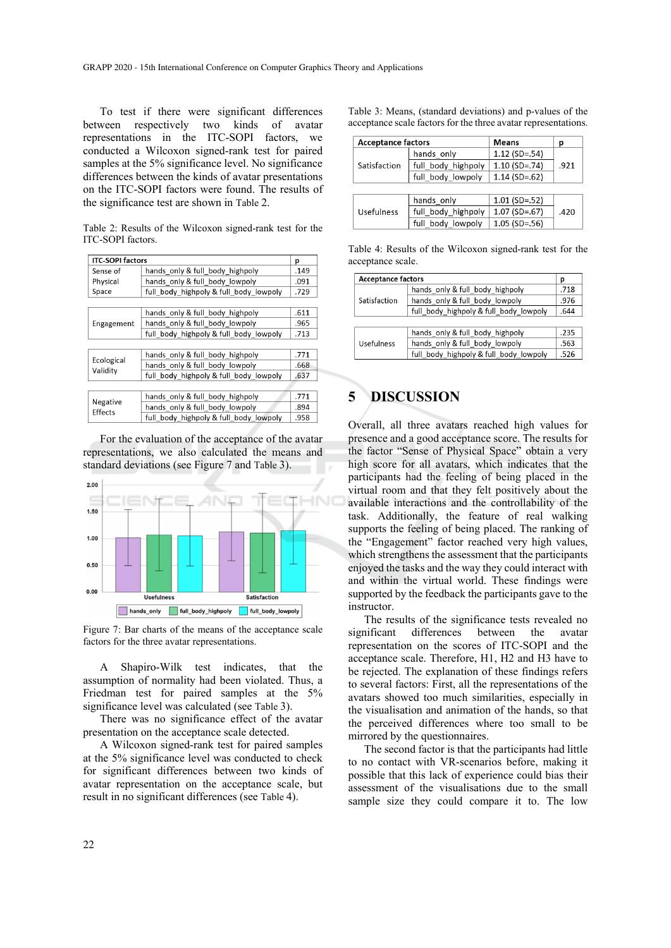To test if there were significant differences between respectively two kinds of avatar representations in the ITC-SOPI factors, we conducted a Wilcoxon signed-rank test for paired samples at the 5% significance level. No significance differences between the kinds of avatar presentations on the ITC-SOPI factors were found. The results of the significance test are shown in Table 2.

Table 2: Results of the Wilcoxon signed-rank test for the ITC-SOPI factors.

| <b>ITC-SOPI factors</b><br>p |                                        |      |  |
|------------------------------|----------------------------------------|------|--|
|                              |                                        |      |  |
| Sense of                     | hands only & full body highpoly        | .149 |  |
| Physical                     | hands only & full body lowpoly         | .091 |  |
| Space                        | full body highpoly & full body lowpoly | .729 |  |
|                              |                                        |      |  |
| Engagement                   | hands only & full body highpoly        | .611 |  |
|                              | hands only & full body lowpoly         | .965 |  |
|                              | full body highpoly & full body lowpoly | .713 |  |
|                              |                                        |      |  |
| Ecological<br>Validity       | hands only & full body highpoly        | .771 |  |
|                              | hands only & full body lowpoly         | .668 |  |
|                              | full body highpoly & full body lowpoly | .637 |  |
|                              |                                        |      |  |
| Negative<br>Effects          | hands only & full body highpoly        | .771 |  |
|                              | hands only & full body lowpoly         | .894 |  |
|                              | full body highpoly & full body lowpoly | .958 |  |

For the evaluation of the acceptance of the avatar representations, we also calculated the means and standard deviations (see Figure 7 and Table 3).



Figure 7: Bar charts of the means of the acceptance scale factors for the three avatar representations.

A Shapiro-Wilk test indicates, that the assumption of normality had been violated. Thus, a Friedman test for paired samples at the 5% significance level was calculated (see Table 3).

There was no significance effect of the avatar presentation on the acceptance scale detected.

A Wilcoxon signed-rank test for paired samples at the 5% significance level was conducted to check for significant differences between two kinds of avatar representation on the acceptance scale, but result in no significant differences (see Table 4).

Table 3: Means, (standard deviations) and p-values of the acceptance scale factors for the three avatar representations.

| <b>Acceptance factors</b> |                    | <b>Means</b>    | р    |
|---------------------------|--------------------|-----------------|------|
| Satisfaction              | hands only         | $1.12$ (SD=.54) | .921 |
|                           | full body highpoly | $1.10$ (SD=.74) |      |
|                           | full body lowpoly  | $1.14$ (SD=.62) |      |
|                           |                    |                 |      |
| Usefulness                | hands only         | $1.01$ (SD=.52) |      |
|                           | full body highpoly | $1.07$ (SD=.67) | .420 |
|                           | full body lowpoly  | $1.05$ (SD=.56) |      |

Table 4: Results of the Wilcoxon signed-rank test for the acceptance scale.

| <b>Acceptance factors</b> |                                        | p    |
|---------------------------|----------------------------------------|------|
| Satisfaction              | hands only & full body highpoly        | .718 |
|                           | hands only & full body lowpoly         |      |
|                           | full body highpoly & full body lowpoly |      |
|                           |                                        |      |
| <b>Usefulness</b>         | hands only & full body highpoly        | .235 |
|                           | hands only & full body lowpoly         | .563 |
|                           | full body highpoly & full body lowpoly | .526 |

# **5 DISCUSSION**

Overall, all three avatars reached high values for presence and a good acceptance score. The results for the factor "Sense of Physical Space" obtain a very high score for all avatars, which indicates that the participants had the feeling of being placed in the virtual room and that they felt positively about the available interactions and the controllability of the task. Additionally, the feature of real walking supports the feeling of being placed. The ranking of the "Engagement" factor reached very high values, which strengthens the assessment that the participants enjoyed the tasks and the way they could interact with and within the virtual world. These findings were supported by the feedback the participants gave to the instructor.

The results of the significance tests revealed no significant differences between the avatar representation on the scores of ITC-SOPI and the acceptance scale. Therefore, H1, H2 and H3 have to be rejected. The explanation of these findings refers to several factors: First, all the representations of the avatars showed too much similarities, especially in the visualisation and animation of the hands, so that the perceived differences where too small to be mirrored by the questionnaires.

The second factor is that the participants had little to no contact with VR-scenarios before, making it possible that this lack of experience could bias their assessment of the visualisations due to the small sample size they could compare it to. The low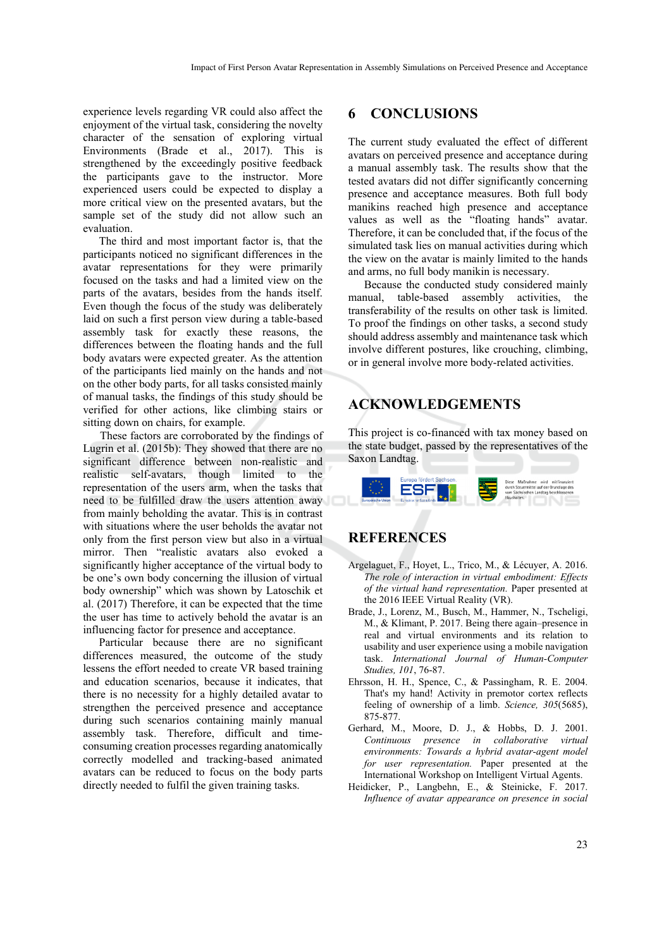experience levels regarding VR could also affect the enjoyment of the virtual task, considering the novelty character of the sensation of exploring virtual Environments (Brade et al., 2017). This is strengthened by the exceedingly positive feedback the participants gave to the instructor. More experienced users could be expected to display a more critical view on the presented avatars, but the sample set of the study did not allow such an evaluation.

The third and most important factor is, that the participants noticed no significant differences in the avatar representations for they were primarily focused on the tasks and had a limited view on the parts of the avatars, besides from the hands itself. Even though the focus of the study was deliberately laid on such a first person view during a table-based assembly task for exactly these reasons, the differences between the floating hands and the full body avatars were expected greater. As the attention of the participants lied mainly on the hands and not on the other body parts, for all tasks consisted mainly of manual tasks, the findings of this study should be verified for other actions, like climbing stairs or sitting down on chairs, for example.

These factors are corroborated by the findings of Lugrin et al. (2015b): They showed that there are no significant difference between non-realistic and realistic self-avatars, though limited to the representation of the users arm, when the tasks that need to be fulfilled draw the users attention away from mainly beholding the avatar. This is in contrast with situations where the user beholds the avatar not only from the first person view but also in a virtual mirror. Then "realistic avatars also evoked a significantly higher acceptance of the virtual body to be one's own body concerning the illusion of virtual body ownership" which was shown by Latoschik et al. (2017) Therefore, it can be expected that the time the user has time to actively behold the avatar is an influencing factor for presence and acceptance.

Particular because there are no significant differences measured, the outcome of the study lessens the effort needed to create VR based training and education scenarios, because it indicates, that there is no necessity for a highly detailed avatar to strengthen the perceived presence and acceptance during such scenarios containing mainly manual assembly task. Therefore, difficult and timeconsuming creation processes regarding anatomically correctly modelled and tracking-based animated avatars can be reduced to focus on the body parts directly needed to fulfil the given training tasks.

#### **6 CONCLUSIONS**

The current study evaluated the effect of different avatars on perceived presence and acceptance during a manual assembly task. The results show that the tested avatars did not differ significantly concerning presence and acceptance measures. Both full body manikins reached high presence and acceptance values as well as the "floating hands" avatar. Therefore, it can be concluded that, if the focus of the simulated task lies on manual activities during which the view on the avatar is mainly limited to the hands and arms, no full body manikin is necessary.

Because the conducted study considered mainly manual, table-based assembly activities, the transferability of the results on other task is limited. To proof the findings on other tasks, a second study should address assembly and maintenance task which involve different postures, like crouching, climbing, or in general involve more body-related activities.

# **ACKNOWLEDGEMENTS**

This project is co-financed with tax money based on the state budget, passed by the representatives of the Saxon Landtag.



# **REFERENCES**

- Argelaguet, F., Hoyet, L., Trico, M., & Lécuyer, A. 2016. *The role of interaction in virtual embodiment: Effects of the virtual hand representation.* Paper presented at the 2016 IEEE Virtual Reality (VR).
- Brade, J., Lorenz, M., Busch, M., Hammer, N., Tscheligi, M., & Klimant, P. 2017. Being there again–presence in real and virtual environments and its relation to usability and user experience using a mobile navigation task. *International Journal of Human-Computer Studies, 101*, 76-87.
- Ehrsson, H. H., Spence, C., & Passingham, R. E. 2004. That's my hand! Activity in premotor cortex reflects feeling of ownership of a limb. *Science, 305*(5685), 875-877.
- Gerhard, M., Moore, D. J., & Hobbs, D. J. 2001. *Continuous presence in collaborative virtual environments: Towards a hybrid avatar-agent model for user representation.* Paper presented at the International Workshop on Intelligent Virtual Agents.
- Heidicker, P., Langbehn, E., & Steinicke, F. 2017. *Influence of avatar appearance on presence in social*